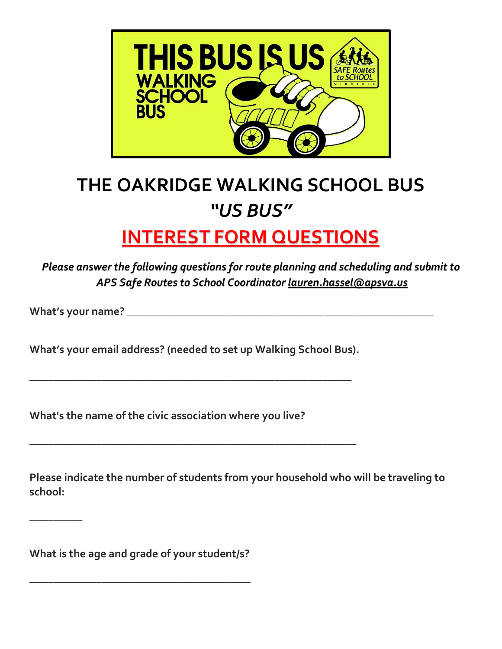

# **THE OAKRIDGE WALKING SCHOOL BUS** *"US BUS"*

# **INTEREST FORM QUESTIONS**

*Please answer the following questions for route planning and scheduling and submit to APS Safe Routes to School Coordinator lauren.hassel@apsva.us*

**What's your name?** \_\_\_\_\_\_\_\_\_\_\_\_\_\_\_\_\_\_\_\_\_\_\_\_\_\_\_\_\_\_\_\_\_\_\_\_\_\_\_\_\_\_\_\_\_\_\_\_\_\_\_\_\_\_\_\_\_\_\_\_\_\_\_\_

\_\_\_\_\_\_\_\_\_\_\_

**What's your email address? (needed to set up Walking School Bus).** 

\_\_\_\_\_\_\_\_\_\_\_\_\_\_\_\_\_\_\_\_\_\_\_\_\_\_\_\_\_\_\_\_\_\_\_\_\_\_\_\_\_\_\_\_\_\_\_\_\_\_\_\_\_\_\_\_\_\_\_\_\_\_\_\_\_\_\_

\_\_\_\_\_\_\_\_\_\_\_\_\_\_\_\_\_\_\_\_\_\_\_\_\_\_\_\_\_\_\_\_\_\_\_\_\_\_\_\_\_\_\_\_\_\_\_\_\_\_\_\_\_\_\_\_\_\_\_\_\_\_\_\_\_\_\_\_

**What's the name of the civic association where you live?**

**Please indicate the number of students from your household who will be traveling to school:**

**What is the age and grade of your student/s?**

**\_\_\_\_\_\_\_\_\_\_\_\_\_\_\_\_\_\_\_\_\_\_\_\_\_\_\_\_\_\_\_\_\_\_\_\_\_\_\_\_\_\_\_\_\_\_**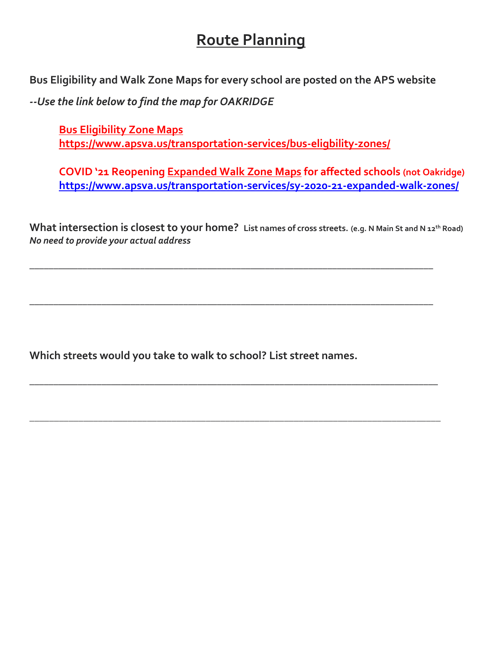### **Route Planning**

**Bus Eligibility and Walk Zone Maps for every school are posted on the APS website**

*--Use the link below to find the map for OAKRIDGE*

**[Bus Eligibility Zone Maps](https://www.apsva.us/transportation-services/bus-eligbility-zones/) <https://www.apsva.us/transportation-services/bus-eligbility-zones/>**

**COVID '21 Reopening [Expanded Walk Zone Maps](https://www.apsva.us/transportation-services/sy-2020-21-expanded-walk-zones/) for affected schools (not Oakridge) <https://www.apsva.us/transportation-services/sy-2020-21-expanded-walk-zones/>**

**What intersection is closest to your home? List names of cross streets. (e.g. N Main St and N 12th Road)** *No need to provide your actual address*

\_\_\_\_\_\_\_\_\_\_\_\_\_\_\_\_\_\_\_\_\_\_\_\_\_\_\_\_\_\_\_\_\_\_\_\_\_\_\_\_\_\_\_\_\_\_\_\_\_\_\_\_\_\_\_\_\_\_\_\_\_\_\_\_\_\_\_\_\_\_\_\_\_\_\_\_\_\_\_\_\_\_\_\_

\_\_\_\_\_\_\_\_\_\_\_\_\_\_\_\_\_\_\_\_\_\_\_\_\_\_\_\_\_\_\_\_\_\_\_\_\_\_\_\_\_\_\_\_\_\_\_\_\_\_\_\_\_\_\_\_\_\_\_\_\_\_\_\_\_\_\_\_\_\_\_\_\_\_\_\_\_\_\_\_\_\_\_\_

\_\_\_\_\_\_\_\_\_\_\_\_\_\_\_\_\_\_\_\_\_\_\_\_\_\_\_\_\_\_\_\_\_\_\_\_\_\_\_\_\_\_\_\_\_\_\_\_\_\_\_\_\_\_\_\_\_\_\_\_\_\_\_\_\_\_\_\_\_\_\_\_\_\_\_\_\_\_\_\_\_\_\_\_\_

\_\_\_\_\_\_\_\_\_\_\_\_\_\_\_\_\_\_\_\_\_\_\_\_\_\_\_\_\_\_\_\_\_\_\_\_\_\_\_\_\_\_\_\_\_\_\_\_\_\_\_\_\_\_\_\_\_\_\_\_\_\_\_\_\_\_\_\_\_\_\_\_\_\_\_\_\_\_\_\_\_\_\_\_

**Which streets would you take to walk to school? List street names.**